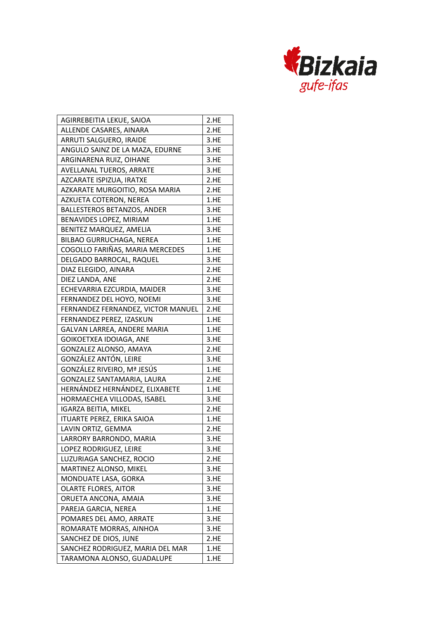

| AGIRREBEITIA LEKUE, SAIOA          | 2.HE |
|------------------------------------|------|
| ALLENDE CASARES, AINARA            | 2.HE |
| ARRUTI SALGUERO, IRAIDE            | 3.HE |
| ANGULO SAINZ DE LA MAZA, EDURNE    | 3.HE |
| ARGINARENA RUIZ, OIHANE            | 3.HE |
| AVELLANAL TUEROS, ARRATE           | 3.HE |
| AZCARATE ISPIZUA, IRATXE           | 2.HE |
| AZKARATE MURGOITIO, ROSA MARIA     | 2.HE |
| AZKUETA COTERON, NEREA             | 1.HE |
| <b>BALLESTEROS BETANZOS, ANDER</b> | 3.HE |
| BENAVIDES LOPEZ, MIRIAM            | 1.HE |
| BENITEZ MARQUEZ, AMELIA            | 3.HE |
| BILBAO GURRUCHAGA, NEREA           | 1.HE |
| COGOLLO FARIÑAS, MARIA MERCEDES    | 1.HE |
| DELGADO BARROCAL, RAQUEL           | 3.HE |
| DIAZ ELEGIDO, AINARA               | 2.HE |
| DIEZ LANDA, ANE                    | 2.HE |
| ECHEVARRIA EZCURDIA, MAIDER        | 3.HE |
| FERNANDEZ DEL HOYO, NOEMI          | 3.HE |
| FERNANDEZ FERNANDEZ, VICTOR MANUEL | 2.HE |
| FERNANDEZ PEREZ, IZASKUN           | 1.HE |
| GALVAN LARREA, ANDERE MARIA        | 1.HE |
| GOIKOETXEA IDOIAGA, ANE            | 3.HE |
| GONZALEZ ALONSO, AMAYA             | 2.HE |
| GONZÁLEZ ANTÓN, LEIRE              | 3.HE |
| GONZÁLEZ RIVEIRO, Mª JESÚS         | 1.HE |
| GONZALEZ SANTAMARIA, LAURA         | 2.HE |
| HERNÁNDEZ HERNÁNDEZ, ELIXABETE     | 1.HE |
| HORMAECHEA VILLODAS, ISABEL        | 3.HE |
| <b>IGARZA BEITIA, MIKEL</b>        | 2.HE |
| <b>ITUARTE PEREZ, ERIKA SAIOA</b>  | 1.HE |
| LAVIN ORTIZ, GEMMA                 | 2.HE |
| LARRORY BARRONDO, MARIA            | 3.HE |
| LOPEZ RODRIGUEZ, LEIRE             | 3.HE |
| LUZURIAGA SANCHEZ, ROCIO           | 2.HE |
| MARTINEZ ALONSO, MIKEL             | 3.HE |
| MONDUATE LASA, GORKA               | 3.HE |
| <b>OLARTE FLORES, AITOR</b>        | 3.HE |
| ORUETA ANCONA, AMAIA               | 3.HE |
| PAREJA GARCIA, NEREA               | 1.HE |
| POMARES DEL AMO, ARRATE            | 3.HE |
| ROMARATE MORRAS, AINHOA            | 3.HE |
| SANCHEZ DE DIOS, JUNE              | 2.HE |
| SANCHEZ RODRIGUEZ, MARIA DEL MAR   | 1.HE |
| TARAMONA ALONSO, GUADALUPE         | 1.HE |